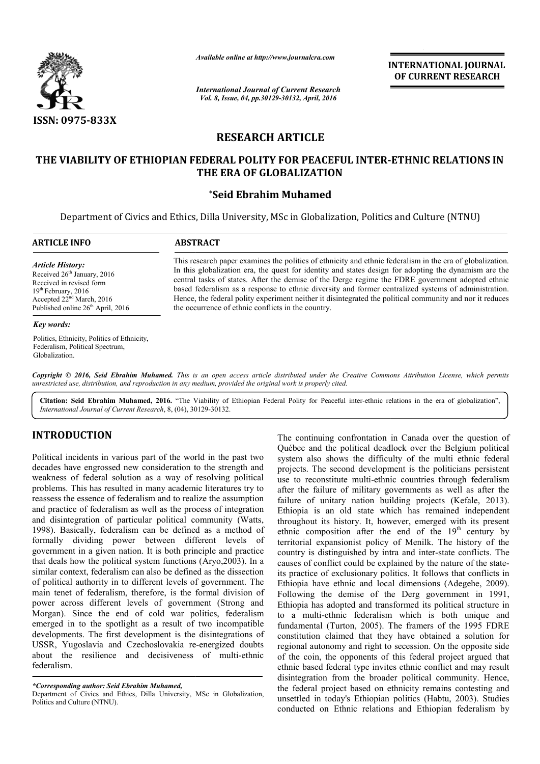

*Available online at http://www.journalcra.com*

*International Journal of Current Research Vol. 8, Issue, 04, pp.30129-30132, April, 2016*

**INTERNATIONAL JOURNAL OF CURRENT RESEARCH** 

# **RESEARCH ARTICLE**

# **THE VIABILITY OF ETHIOPIAN FEDERAL POLITY FOR PEACEFUL INTER INTER--ETHNIC RELATIONS IN THE ERA OF GLOBALIZATION**

## **\*Seid Ebrahim Muhamed**

Department of Civics and Ethics, Dilla University, MSc in Globalization, Politics and Culture (NTNU)

| <b>ARTICLE INFO</b>                                                                                                                                                                            | <b>ABSTRACT</b>                                                                                                                                                                                                                                                                                                                                                                                                                                                                                                                                                                                  |
|------------------------------------------------------------------------------------------------------------------------------------------------------------------------------------------------|--------------------------------------------------------------------------------------------------------------------------------------------------------------------------------------------------------------------------------------------------------------------------------------------------------------------------------------------------------------------------------------------------------------------------------------------------------------------------------------------------------------------------------------------------------------------------------------------------|
| <b>Article History:</b><br>Received $26th$ January, 2016<br>Received in revised form<br>$19th$ February, 2016<br>Accepted $22nd March$ , 2016<br>Published online 26 <sup>th</sup> April, 2016 | This research paper examines the politics of ethnicity and ethnic federalism in the era of globalization.<br>In this globalization era, the quest for identity and states design for adopting the dynamism are the<br>central tasks of states. After the demise of the Derge regime the FDRE government adopted ethnic<br>based federalism as a response to ethnic diversity and former centralized systems of administration.<br>Hence, the federal polity experiment neither it disintegrated the political community and nor it reduces<br>the occurrence of ethnic conflicts in the country. |
| Key words:                                                                                                                                                                                     |                                                                                                                                                                                                                                                                                                                                                                                                                                                                                                                                                                                                  |
| Politics, Ethnicity, Politics of Ethnicity,                                                                                                                                                    |                                                                                                                                                                                                                                                                                                                                                                                                                                                                                                                                                                                                  |

Copyright © 2016, Seid Ebrahim Muhamed. This is an open access article distributed under the Creative Commons Attribution License, which permits *unrestricted use, distribution, and reproduction in any medium, provided the original work is properly cited.*

Citation: Seid Ebrahim Muhamed, 2016. "The Viability of Ethiopian Federal Polity for Peaceful inter-ethnic relations in the era of globalization", *International Journal of Current Research*, 8, (04), 30129 30129-30132.

# **INTRODUCTION**

Federalism, Political Spectrum,

Globalization.

Political incidents in various part of the world in the past two decades have engrossed new consideration to the strength and weakness of federal solution as a way of resolving political problems. This has resulted in many academic literatures try to reassess the essence of federalism and to realize the assumption and practice of federalism as well as the process of integration and disintegration of particular political community (Watts, 1998). Basically, federalism can be defined as a method of formally dividing power between different levels of government in a given nation. It is both principle and practice that deals how the political system functions (Aryo,2003). In a similar context, federalism can also be defined as the dissection of political authority in to different levels of government. The main tenet of federalism, therefore, is the formal division of power across different levels of government ( (Strong and Morgan). Since the end of cold war politics, federalism emerged in to the spotlight as a result of two incompatible developments. The first development is the disintegrations of USSR, Yugoslavia and Czechoslovakia re-energized doubts about the resilience and decisiveness of multi-ethnic federalism.

*\*Corresponding author: Seid Ebrahim Muhamed,*

Department of Civics and Ethics, Dilla University, MSc in Globalization, Politics and Culture (NTNU).

The continuing confrontation in Canada over the question of Québec and the political deadlock over the Belgium political system also shows the difficulty of the multi ethnic federal The continuing confrontation in Canada over the question of Québec and the political deadlock over the Belgium political system also shows the difficulty of the multi ethnic federal projects. The second development is the use to reconstitute multi-ethnic countries through federalism after the failure of military governments as well as after the failure of unitary nation building projects (Kefale, 2013). Ethiopia is an old state which has remained independent throughout its history. It, however, emerged with its present ethnic composition after the end of the  $19<sup>th</sup>$  century by territorial expansionist policy of Menilk. The history of the territorial expansionist policy of Menilk. The history of the country is distinguished by intra and inter-state conflicts. The causes of conflict could be explained by the nature of the stateits practice of exclusionary politics. It follows that conflicts in its practice of exclusionary politics. It follows that conflicts in Ethiopia have ethnic and local dimensions (Adegehe, 2009). Following the demise of the Derg government in 1991, Ethiopia has adopted and transformed its political structure in to a multi-ethnic federalism which is both unique and fundamental (Turton, 2005). The framers of the 1995 FDRE constitution claimed that they have obtained a solution for regional autonomy and right to secession. On the opposite side of the coin, the opponents of this federal project argued that ethnic based federal type invites ethnic conflict and may result disintegration from the broader political community. Hence, the federal project based on ethnicity remains contesting and unsettled in today's Ethiopian politics (Habtu, 2003). Studies conducted on Ethnic relations and Ethiopian federalism by reconstitute multi-ethnic countries through federalism<br>e failure of military governments as well as after the<br>of unitary nation building projects (Kefale, 2013).<br>u is an old state which has remained independent<br>out its his **EXECUTE THE CONSTRAINT CONSTRAINT CONSTRAINT CONSTRAINT CONSTRAINT CONSTRAINT TO THE CONSTRAINT TO A SOLUTION CONSTRAINT TO A SOLUTION CONSTRAINT TO A SOLUTION CONSTRAINT TO A SOLUTION CONSTRAINT TO A SOLUTION CONSTRAINT**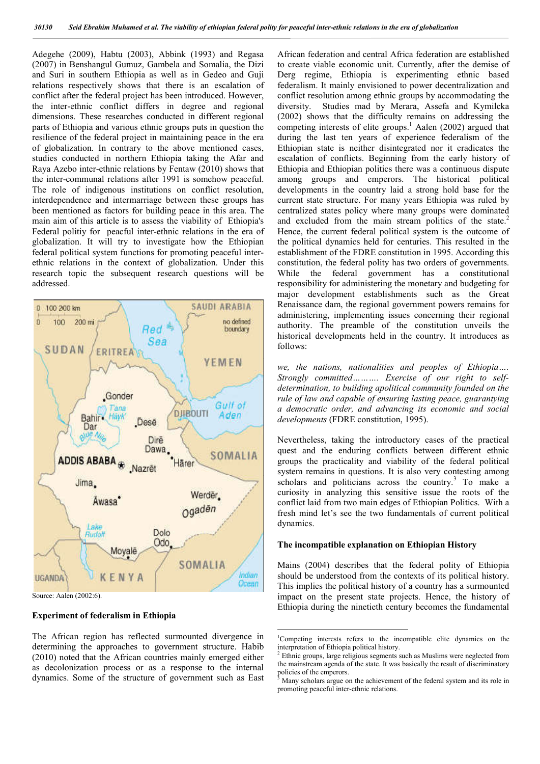Adegehe (2009), Habtu (2003), Abbink (1993) and Regasa (2007) in Benshangul Gumuz, Gambela and Somalia, the Dizi and Suri in southern Ethiopia as well as in Gedeo and Guji relations respectively shows that there is an escalation of conflict after the federal project has been introduced. However, the inter-ethnic conflict differs in degree and regional dimensions. These researches conducted in different regional parts of Ethiopia and various ethnic groups puts in question the resilience of the federal project in maintaining peace in the era of globalization. In contrary to the above mentioned cases, studies conducted in northern Ethiopia taking the Afar and Raya Azebo inter-ethnic relations by Fentaw (2010) shows that the inter-communal relations after 1991 is somehow peaceful. The role of indigenous institutions on conflict resolution, interdependence and intermarriage between these groups has been mentioned as factors for building peace in this area. The main aim of this article is to assess the viability of Ethiopia's Federal politiy for peacful inter-ethnic relations in the era of globalization. It will try to investigate how the Ethiopian federal political system functions for promoting peaceful interethnic relations in the context of globalization. Under this research topic the subsequent research questions will be addressed.



Source: Aalen (2002:6).

#### **Experiment of federalism in Ethiopia**

The African region has reflected surmounted divergence in determining the approaches to government structure. Habib (2010) noted that the African countries mainly emerged either as decolonization process or as a response to the internal dynamics. Some of the structure of government such as East

African federation and central Africa federation are established to create viable economic unit. Currently, after the demise of Derg regime, Ethiopia is experimenting ethnic based federalism. It mainly envisioned to power decentralization and conflict resolution among ethnic groups by accommodating the diversity. Studies mad by Merara, Assefa and Kymilcka (2002) shows that the difficulty remains on addressing the competing interests of elite groups.<sup>1</sup> Aalen (2002) argued that during the last ten years of experience federalism of the Ethiopian state is neither disintegrated nor it eradicates the escalation of conflicts. Beginning from the early history of Ethiopia and Ethiopian politics there was a continuous dispute among groups and emperors. The historical political developments in the country laid a strong hold base for the current state structure. For many years Ethiopia was ruled by centralized states policy where many groups were dominated and excluded from the main stream politics of the state.<sup>2</sup> Hence, the current federal political system is the outcome of the political dynamics held for centuries. This resulted in the establishment of the FDRE constitution in 1995. According this constitution, the federal polity has two orders of governments. While the federal government has a constitutional responsibility for administering the monetary and budgeting for major development establishments such as the Great Renaissance dam, the regional government powers remains for administering, implementing issues concerning their regional authority. The preamble of the constitution unveils the historical developments held in the country. It introduces as follows:

*we, the nations, nationalities and peoples of Ethiopia…. Strongly committed………. Exercise of our right to selfdetermination, to building apolitical community founded on the rule of law and capable of ensuring lasting peace, guarantying a democratic order, and advancing its economic and social developments* (FDRE constitution, 1995).

Nevertheless, taking the introductory cases of the practical quest and the enduring conflicts between different ethnic groups the practicality and viability of the federal political system remains in questions. It is also very contesting among scholars and politicians across the country. $3$  To make a curiosity in analyzing this sensitive issue the roots of the conflict laid from two main edges of Ethiopian Politics. With a fresh mind let's see the two fundamentals of current political dynamics.

#### **The incompatible explanation on Ethiopian History**

Mains (2004) describes that the federal polity of Ethiopia should be understood from the contexts of its political history. This implies the political history of a country has a surmounted impact on the present state projects. Hence, the history of Ethiopia during the ninetieth century becomes the fundamental

 $\frac{1}{1}$ <sup>1</sup>Competing interests refers to the incompatible elite dynamics on the interpretation of Ethiopia political history.

<sup>&</sup>lt;sup>2</sup> Ethnic groups, large religious segments such as Muslims were neglected from the mainstream agenda of the state. It was basically the result of discriminatory policies of the emperors.

Many scholars argue on the achievement of the federal system and its role in promoting peaceful inter-ethnic relations.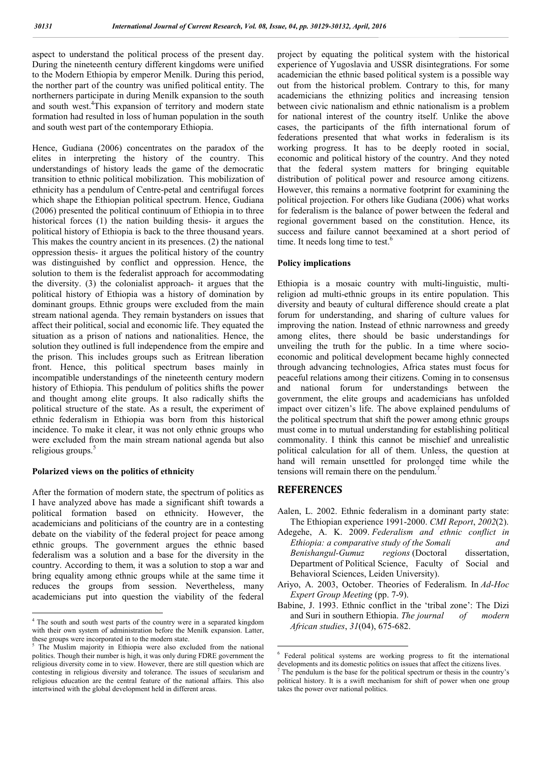aspect to understand the political process of the present day. During the nineteenth century different kingdoms were unified to the Modern Ethiopia by emperor Menilk. During this period, the norther part of the country was unified political entity. The northerners participate in during Menilk expansion to the south and south west.<sup>4</sup>This expansion of territory and modern state formation had resulted in loss of human population in the south and south west part of the contemporary Ethiopia.

Hence, Gudiana (2006) concentrates on the paradox of the elites in interpreting the history of the country. This understandings of history leads the game of the democratic transition to ethnic political mobilization. This mobilization of ethnicity has a pendulum of Centre-petal and centrifugal forces which shape the Ethiopian political spectrum. Hence, Gudiana (2006) presented the political continuum of Ethiopia in to three historical forces (1) the nation building thesis- it argues the political history of Ethiopia is back to the three thousand years. This makes the country ancient in its presences. (2) the national oppression thesis- it argues the political history of the country was distinguished by conflict and oppression. Hence, the solution to them is the federalist approach for accommodating the diversity. (3) the colonialist approach- it argues that the political history of Ethiopia was a history of domination by dominant groups. Ethnic groups were excluded from the main stream national agenda. They remain bystanders on issues that affect their political, social and economic life. They equated the situation as a prison of nations and nationalities. Hence, the solution they outlined is full independence from the empire and the prison. This includes groups such as Eritrean liberation front. Hence, this political spectrum bases mainly in incompatible understandings of the nineteenth century modern history of Ethiopia. This pendulum of politics shifts the power and thought among elite groups. It also radically shifts the political structure of the state. As a result, the experiment of ethnic federalism in Ethiopia was born from this historical incidence. To make it clear, it was not only ethnic groups who were excluded from the main stream national agenda but also religious groups.<sup>5</sup>

## **Polarized views on the politics of ethnicity**

After the formation of modern state, the spectrum of politics as I have analyzed above has made a significant shift towards a political formation based on ethnicity. However, the academicians and politicians of the country are in a contesting debate on the viability of the federal project for peace among ethnic groups. The government argues the ethnic based federalism was a solution and a base for the diversity in the country. According to them, it was a solution to stop a war and bring equality among ethnic groups while at the same time it reduces the groups from session. Nevertheless, many academicians put into question the viability of the federal

project by equating the political system with the historical experience of Yugoslavia and USSR disintegrations. For some academician the ethnic based political system is a possible way out from the historical problem. Contrary to this, for many academicians the ethnizing politics and increasing tension between civic nationalism and ethnic nationalism is a problem for national interest of the country itself. Unlike the above cases, the participants of the fifth international forum of federations presented that what works in federalism is its working progress. It has to be deeply rooted in social, economic and political history of the country. And they noted that the federal system matters for bringing equitable distribution of political power and resource among citizens. However, this remains a normative footprint for examining the political projection. For others like Gudiana (2006) what works for federalism is the balance of power between the federal and regional government based on the constitution. Hence, its success and failure cannot beexamined at a short period of time. It needs long time to test.<sup>6</sup>

#### **Policy implications**

Ethiopia is a mosaic country with multi-linguistic, multireligion ad multi-ethnic groups in its entire population. This diversity and beauty of cultural difference should create a plat forum for understanding, and sharing of culture values for improving the nation. Instead of ethnic narrowness and greedy among elites, there should be basic understandings for unveiling the truth for the public. In a time where socioeconomic and political development became highly connected through advancing technologies, Africa states must focus for peaceful relations among their citizens. Coming in to consensus and national forum for understandings between the government, the elite groups and academicians has unfolded impact over citizen's life. The above explained pendulums of the political spectrum that shift the power among ethnic groups must come in to mutual understanding for establishing political commonality. I think this cannot be mischief and unrealistic political calculation for all of them. Unless, the question at hand will remain unsettled for prolonged time while the tensions will remain there on the pendulum.<sup>7</sup>

## **REFERENCES**

- Aalen, L. 2002. Ethnic federalism in a dominant party state: The Ethiopian experience 1991-2000. *CMI Report*, *2002*(2).
- Adegehe, A. K. 2009. *Federalism and ethnic conflict in Ethiopia: a comparative study of the Somali and Benishangul-Gumuz regions* (Doctoral dissertation, Department of Political Science, Faculty of Social and Behavioral Sciences, Leiden University).
- Ariyo, A. 2003, October. Theories of Federalism. In *Ad-Hoc Expert Group Meeting* (pp. 7-9).
- Babine, J. 1993. Ethnic conflict in the 'tribal zone': The Dizi and Suri in southern Ethiopia. *The journal of modern African studies*, *31*(04), 675-682.

<sup>&</sup>lt;sup>4</sup> The south and south west parts of the country were in a separated kingdom with their own system of administration before the Menilk expansion. Latter, these groups were incorporated in to the modern state.

The Muslim majority in Ethiopia were also excluded from the national politics. Though their number is high, it was only during FDRE government the religious diversity come in to view. However, there are still question which are contesting in religious diversity and tolerance. The issues of secularism and religious education are the central feature of the national affairs. This also intertwined with the global development held in different areas.

 <sup>6</sup> Federal political systems are working progress to fit the international developments and its domestic politics on issues that affect the citizens lives.

The pendulum is the base for the political spectrum or thesis in the country's political history. It is a swift mechanism for shift of power when one group takes the power over national politics.